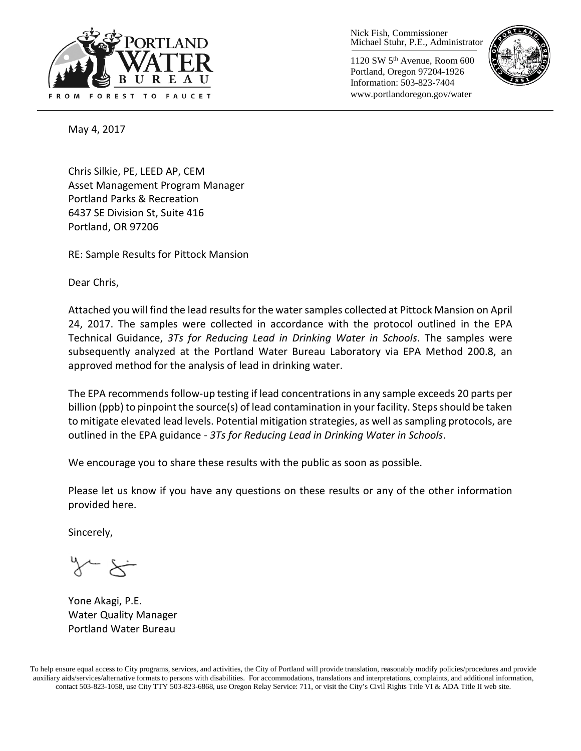

Nick Fish, Commissioner Michael Stuhr, P.E., Administrator

1120 SW 5th Avenue, Room 600 Portland, Oregon 97204-1926 Information: 503-823-7404 www.portlandoregon.gov/water



May 4, 2017

Chris Silkie, PE, LEED AP, CEM Asset Management Program Manager Portland Parks & Recreation 6437 SE Division St, Suite 416 Portland, OR 97206

RE: Sample Results for Pittock Mansion

Dear Chris,

Attached you will find the lead results for the water samples collected at Pittock Mansion on April 24, 2017. The samples were collected in accordance with the protocol outlined in the EPA Technical Guidance, *3Ts for Reducing Lead in Drinking Water in Schools*. The samples were subsequently analyzed at the Portland Water Bureau Laboratory via EPA Method 200.8, an approved method for the analysis of lead in drinking water.

The EPA recommends follow-up testing if lead concentrations in any sample exceeds 20 parts per billion (ppb) to pinpoint the source(s) of lead contamination in your facility. Steps should be taken to mitigate elevated lead levels. Potential mitigation strategies, as well as sampling protocols, are outlined in the EPA guidance - *3Ts for Reducing Lead in Drinking Water in Schools*.

We encourage you to share these results with the public as soon as possible.

Please let us know if you have any questions on these results or any of the other information provided here.

Sincerely,

Yone Akagi, P.E. Water Quality Manager Portland Water Bureau

To help ensure equal access to City programs, services, and activities, the City of Portland will provide translation, reasonably modify policies/procedures and provide auxiliary aids/services/alternative formats to persons with disabilities. For accommodations, translations and interpretations, complaints, and additional information, contact 503-823-1058, use City TTY 503-823-6868, use Oregon Relay Service: 711, or visi[t the City's Civil Rights Title VI & ADA Title II web site.](http://www.portlandoregon.gov/oehr/66458)